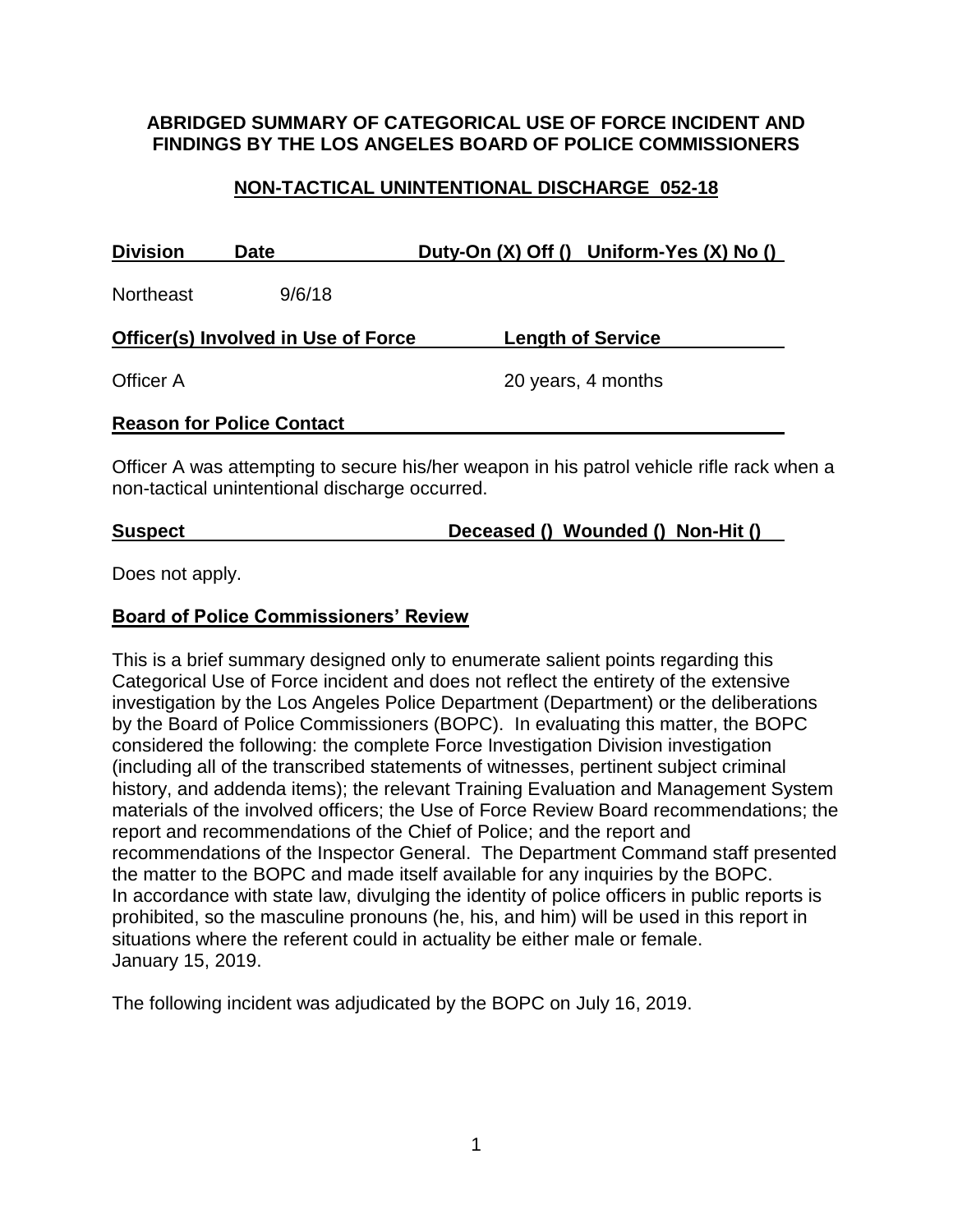#### **ABRIDGED SUMMARY OF CATEGORICAL USE OF FORCE INCIDENT AND FINDINGS BY THE LOS ANGELES BOARD OF POLICE COMMISSIONERS**

## **NON-TACTICAL UNINTENTIONAL DISCHARGE 052-18**

| <b>Division</b>                     | <b>Date</b>                      | Duty-On (X) Off () Uniform-Yes (X) No () |  |
|-------------------------------------|----------------------------------|------------------------------------------|--|
| <b>Northeast</b>                    | 9/6/18                           |                                          |  |
| Officer(s) Involved in Use of Force |                                  | <b>Length of Service</b>                 |  |
| Officer A                           |                                  | 20 years, 4 months                       |  |
|                                     | <b>Reason for Police Contact</b> |                                          |  |

Officer A was attempting to secure his/her weapon in his patrol vehicle rifle rack when a non-tactical unintentional discharge occurred.

**Suspect Deceased () Wounded () Non-Hit ()**

Does not apply.

## **Board of Police Commissioners' Review**

This is a brief summary designed only to enumerate salient points regarding this Categorical Use of Force incident and does not reflect the entirety of the extensive investigation by the Los Angeles Police Department (Department) or the deliberations by the Board of Police Commissioners (BOPC). In evaluating this matter, the BOPC considered the following: the complete Force Investigation Division investigation (including all of the transcribed statements of witnesses, pertinent subject criminal history, and addenda items); the relevant Training Evaluation and Management System materials of the involved officers; the Use of Force Review Board recommendations; the report and recommendations of the Chief of Police; and the report and recommendations of the Inspector General. The Department Command staff presented the matter to the BOPC and made itself available for any inquiries by the BOPC. In accordance with state law, divulging the identity of police officers in public reports is prohibited, so the masculine pronouns (he, his, and him) will be used in this report in situations where the referent could in actuality be either male or female. January 15, 2019.

The following incident was adjudicated by the BOPC on July 16, 2019.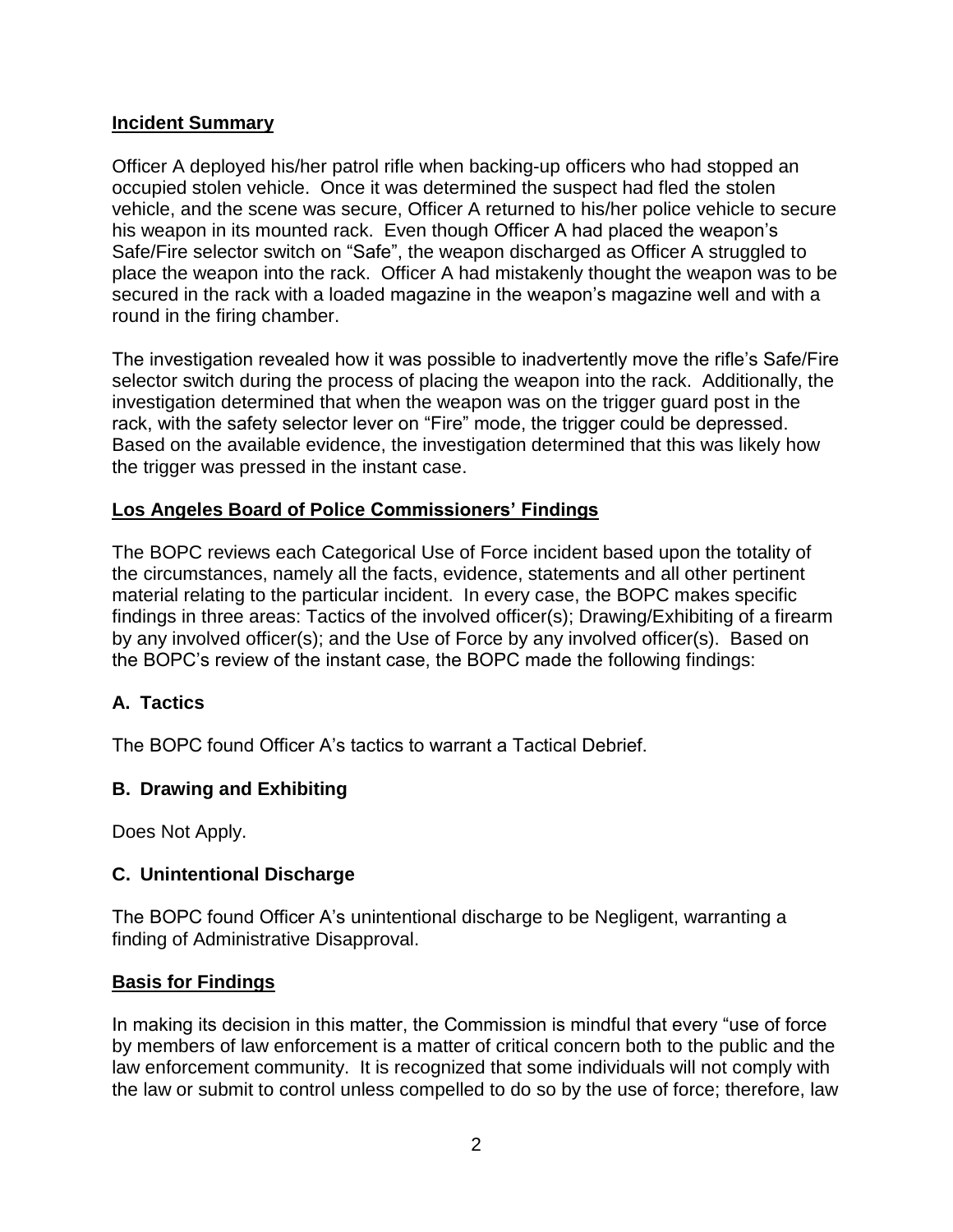#### **Incident Summary**

Officer A deployed his/her patrol rifle when backing-up officers who had stopped an occupied stolen vehicle. Once it was determined the suspect had fled the stolen vehicle, and the scene was secure, Officer A returned to his/her police vehicle to secure his weapon in its mounted rack. Even though Officer A had placed the weapon's Safe/Fire selector switch on "Safe", the weapon discharged as Officer A struggled to place the weapon into the rack. Officer A had mistakenly thought the weapon was to be secured in the rack with a loaded magazine in the weapon's magazine well and with a round in the firing chamber.

The investigation revealed how it was possible to inadvertently move the rifle's Safe/Fire selector switch during the process of placing the weapon into the rack. Additionally, the investigation determined that when the weapon was on the trigger guard post in the rack, with the safety selector lever on "Fire" mode, the trigger could be depressed. Based on the available evidence, the investigation determined that this was likely how the trigger was pressed in the instant case.

## **Los Angeles Board of Police Commissioners' Findings**

The BOPC reviews each Categorical Use of Force incident based upon the totality of the circumstances, namely all the facts, evidence, statements and all other pertinent material relating to the particular incident. In every case, the BOPC makes specific findings in three areas: Tactics of the involved officer(s); Drawing/Exhibiting of a firearm by any involved officer(s); and the Use of Force by any involved officer(s). Based on the BOPC's review of the instant case, the BOPC made the following findings:

## **A. Tactics**

The BOPC found Officer A's tactics to warrant a Tactical Debrief.

## **B. Drawing and Exhibiting**

Does Not Apply.

#### **C. Unintentional Discharge**

The BOPC found Officer A's unintentional discharge to be Negligent, warranting a finding of Administrative Disapproval.

#### **Basis for Findings**

In making its decision in this matter, the Commission is mindful that every "use of force by members of law enforcement is a matter of critical concern both to the public and the law enforcement community. It is recognized that some individuals will not comply with the law or submit to control unless compelled to do so by the use of force; therefore, law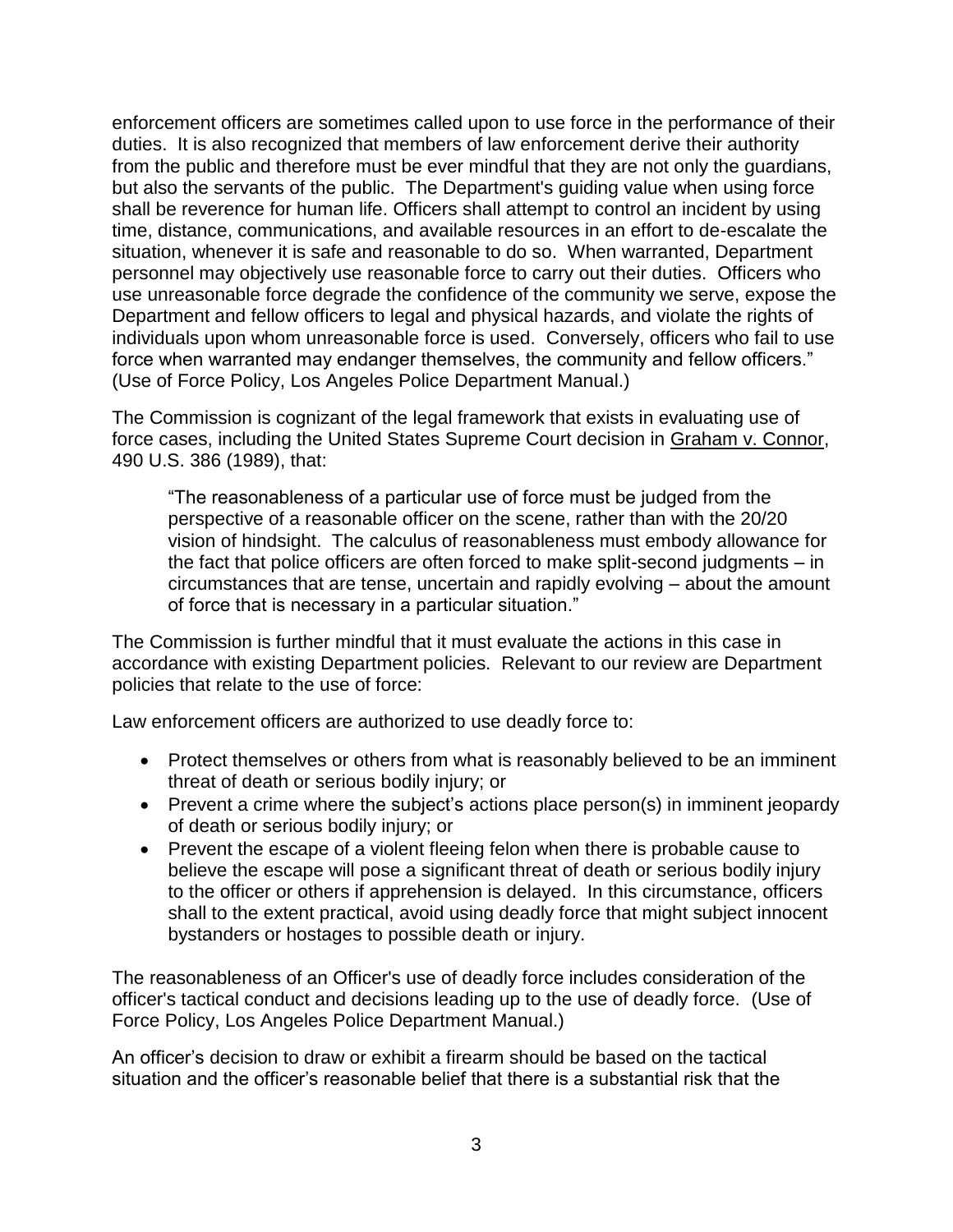enforcement officers are sometimes called upon to use force in the performance of their duties. It is also recognized that members of law enforcement derive their authority from the public and therefore must be ever mindful that they are not only the guardians, but also the servants of the public. The Department's guiding value when using force shall be reverence for human life. Officers shall attempt to control an incident by using time, distance, communications, and available resources in an effort to de-escalate the situation, whenever it is safe and reasonable to do so. When warranted, Department personnel may objectively use reasonable force to carry out their duties. Officers who use unreasonable force degrade the confidence of the community we serve, expose the Department and fellow officers to legal and physical hazards, and violate the rights of individuals upon whom unreasonable force is used. Conversely, officers who fail to use force when warranted may endanger themselves, the community and fellow officers." (Use of Force Policy, Los Angeles Police Department Manual.)

The Commission is cognizant of the legal framework that exists in evaluating use of force cases, including the United States Supreme Court decision in Graham v. Connor, 490 U.S. 386 (1989), that:

"The reasonableness of a particular use of force must be judged from the perspective of a reasonable officer on the scene, rather than with the 20/20 vision of hindsight. The calculus of reasonableness must embody allowance for the fact that police officers are often forced to make split-second judgments – in circumstances that are tense, uncertain and rapidly evolving – about the amount of force that is necessary in a particular situation."

The Commission is further mindful that it must evaluate the actions in this case in accordance with existing Department policies. Relevant to our review are Department policies that relate to the use of force:

Law enforcement officers are authorized to use deadly force to:

- Protect themselves or others from what is reasonably believed to be an imminent threat of death or serious bodily injury; or
- Prevent a crime where the subject's actions place person(s) in imminent jeopardy of death or serious bodily injury; or
- Prevent the escape of a violent fleeing felon when there is probable cause to believe the escape will pose a significant threat of death or serious bodily injury to the officer or others if apprehension is delayed. In this circumstance, officers shall to the extent practical, avoid using deadly force that might subject innocent bystanders or hostages to possible death or injury.

The reasonableness of an Officer's use of deadly force includes consideration of the officer's tactical conduct and decisions leading up to the use of deadly force. (Use of Force Policy, Los Angeles Police Department Manual.)

An officer's decision to draw or exhibit a firearm should be based on the tactical situation and the officer's reasonable belief that there is a substantial risk that the